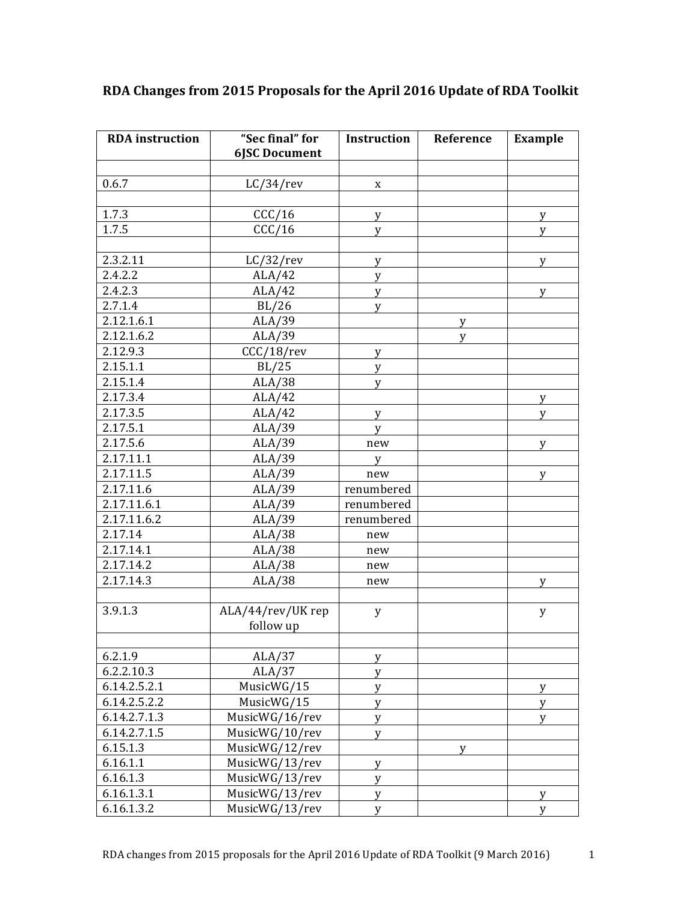| <b>RDA</b> instruction | "Sec final" for<br><b>6JSC Document</b> | Instruction | Reference | <b>Example</b> |
|------------------------|-----------------------------------------|-------------|-----------|----------------|
|                        |                                         |             |           |                |
| 0.6.7                  | $LC/34$ /rev                            | X           |           |                |
|                        |                                         |             |           |                |
| 1.7.3                  | CCC/16                                  | y           |           | y              |
| 1.7.5                  | CCC/16                                  | y           |           | y              |
|                        |                                         |             |           |                |
| 2.3.2.11               | $LC/32$ /rev                            | y           |           | y              |
| 2.4.2.2                | ALA/42                                  | y           |           |                |
| 2.4.2.3                | ALA/42                                  | y           |           | y              |
| 2.7.1.4                | BL/26                                   | У           |           |                |
| 2.12.1.6.1             | ALA/39                                  |             | y         |                |
| 2.12.1.6.2             | ALA/39                                  |             | y         |                |
| 2.12.9.3               | $CCC/18$ /rev                           | У           |           |                |
| 2.15.1.1               | BL/25                                   | y           |           |                |
| 2.15.1.4               | ALA/38                                  | y           |           |                |
| 2.17.3.4               | ALA/42                                  |             |           | y              |
| 2.17.3.5               | ALA/42                                  | y           |           | V              |
| 2.17.5.1               | ALA/39                                  | У           |           |                |
| 2.17.5.6               | ALA/39                                  | new         |           | y              |
| 2.17.11.1              | ALA/39                                  | y           |           |                |
| 2.17.11.5              | ALA/39                                  | new         |           | V              |
| 2.17.11.6              | ALA/39                                  | renumbered  |           |                |
| 2.17.11.6.1            | ALA/39                                  | renumbered  |           |                |
| 2.17.11.6.2            | ALA/39                                  | renumbered  |           |                |
| 2.17.14                | ALA/38                                  | new         |           |                |
| 2.17.14.1              | ALA/38                                  | new         |           |                |
| 2.17.14.2              | ALA/38                                  | new         |           |                |
| 2.17.14.3              | ALA/38                                  | new         |           | y              |
|                        |                                         |             |           |                |
| 3.9.1.3                | ALA/44/rev/UK rep                       | $\mathbf y$ |           | y              |
|                        | follow up                               |             |           |                |
|                        |                                         |             |           |                |
| 6.2.1.9                | ALA/37                                  | y           |           |                |
| 6.2.2.10.3             | ALA/37                                  | y           |           |                |
| 6.14.2.5.2.1           | MusicWG/15                              | y           |           | y              |
| 6.14.2.5.2.2           | MusicWG/15                              | y           |           | y              |
| 6.14.2.7.1.3           | MusicWG/16/rev                          | $\mathbf y$ |           | y              |
| 6.14.2.7.1.5           | MusicWG/10/rev                          | y           |           |                |
| 6.15.1.3               | MusicWG/12/rev                          |             | y         |                |
| 6.16.1.1               | MusicWG/13/rev                          | y           |           |                |
| 6.16.1.3               | MusicWG/13/rev                          | У           |           |                |
| 6.16.1.3.1             | MusicWG/13/rev                          | y           |           | y              |
| 6.16.1.3.2             | MusicWG/13/rev                          | y           |           | y              |

## RDA Changes from 2015 Proposals for the April 2016 Update of RDA Toolkit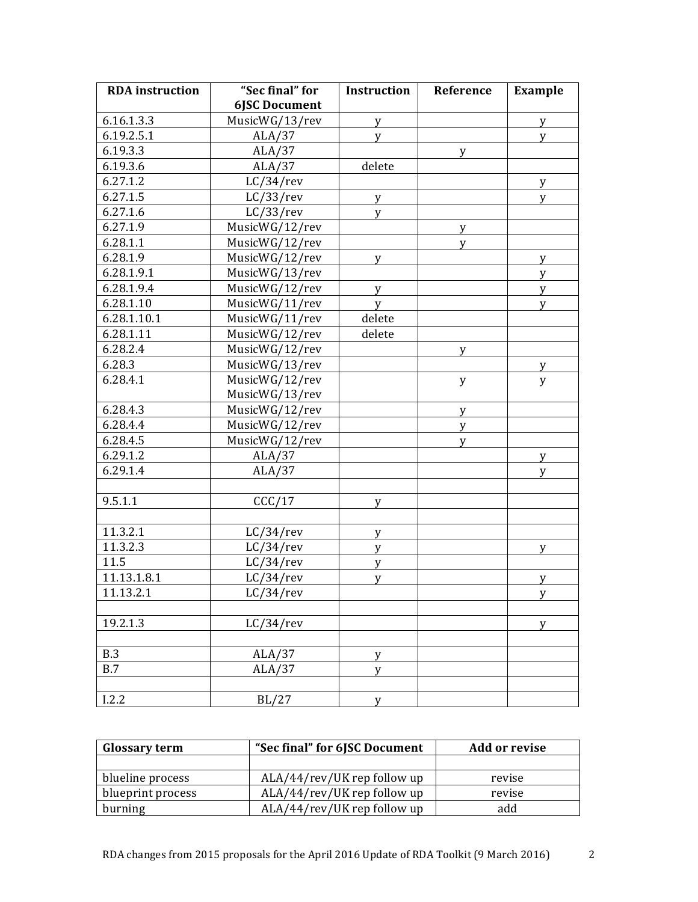| <b>RDA</b> instruction  | "Sec final" for      | <b>Instruction</b> | Reference | Example |
|-------------------------|----------------------|--------------------|-----------|---------|
|                         | <b>6JSC Document</b> |                    |           |         |
| 6.16.1.3.3              | MusicWG/13/rev       | y                  |           | y       |
| 6.19.2.5.1              | ALA/37               | y                  |           | y       |
| 6.19.3.3                | ALA/37               |                    | y         |         |
| 6.19.3.6                | ALA/37               | delete             |           |         |
| 6.27.1.2                | $LC/34$ /rev         |                    |           | y       |
| 6.27.1.5                | LC/33/rev            | y                  |           | y       |
| 6.27.1.6                | LC/33/rev            | y                  |           |         |
| 6.27.1.9                | MusicWG/12/rev       |                    | y         |         |
| 6.28.1.1                | MusicWG/12/rev       |                    | y         |         |
| 6.28.1.9                | MusicWG/12/rev       | y                  |           | y       |
| 6.28.1.9.1              | MusicWG/13/rev       |                    |           | y       |
| 6.28.1.9.4              | MusicWG/12/rev       | y                  |           | y       |
| 6.28.1.10               | MusicWG/11/rev       | y                  |           | y       |
| 6.28.1.10.1             | MusicWG/11/rev       | delete             |           |         |
| 6.28.1.11               | MusicWG/12/rev       | delete             |           |         |
| 6.28.2.4                | MusicWG/12/rev       |                    | y         |         |
| 6.28.3                  | MusicWG/13/rev       |                    |           | У       |
| 6.28.4.1                | MusicWG/12/rev       |                    | y         | y       |
|                         | MusicWG/13/rev       |                    |           |         |
| 6.28.4.3                | MusicWG/12/rev       |                    | y         |         |
| 6.28.4.4                | MusicWG/12/rev       |                    | y         |         |
| 6.28.4.5                | MusicWG/12/rev       |                    | y         |         |
| 6.29.1.2                | ALA/37               |                    |           | y       |
| 6.29.1.4                | ALA/37               |                    |           | V       |
|                         |                      |                    |           |         |
| 9.5.1.1                 | CCC/17               | y                  |           |         |
|                         |                      |                    |           |         |
| 11.3.2.1                | $LC/34$ /rev         | y                  |           |         |
| 11.3.2.3                | $LC/34$ /rev         | y                  |           | y       |
| 11.5                    | $LC/34$ /rev         | y                  |           |         |
| 11.13.1.8.1             | $LC/34$ /rev         | y                  |           | y       |
| $\overline{1}$ 1.13.2.1 | $LC/34$ /rev         |                    |           | y       |
|                         |                      |                    |           |         |
| 19.2.1.3                | $LC/34$ /rev         |                    |           | y       |
| <b>B.3</b>              | ALA/37               | у                  |           |         |
| B.7                     | ALA/37               | y                  |           |         |
|                         |                      |                    |           |         |
| I.2.2                   | BL/27                | У                  |           |         |

| <b>Glossary term</b> | "Sec final" for 6JSC Document | Add or revise |  |
|----------------------|-------------------------------|---------------|--|
|                      |                               |               |  |
| blueline process     | ALA/44/rev/UK rep follow up   | revise        |  |
| blueprint process    | ALA/44/rev/UK rep follow up   | revise        |  |
| burning              | ALA/44/rev/UK rep follow up   | add           |  |